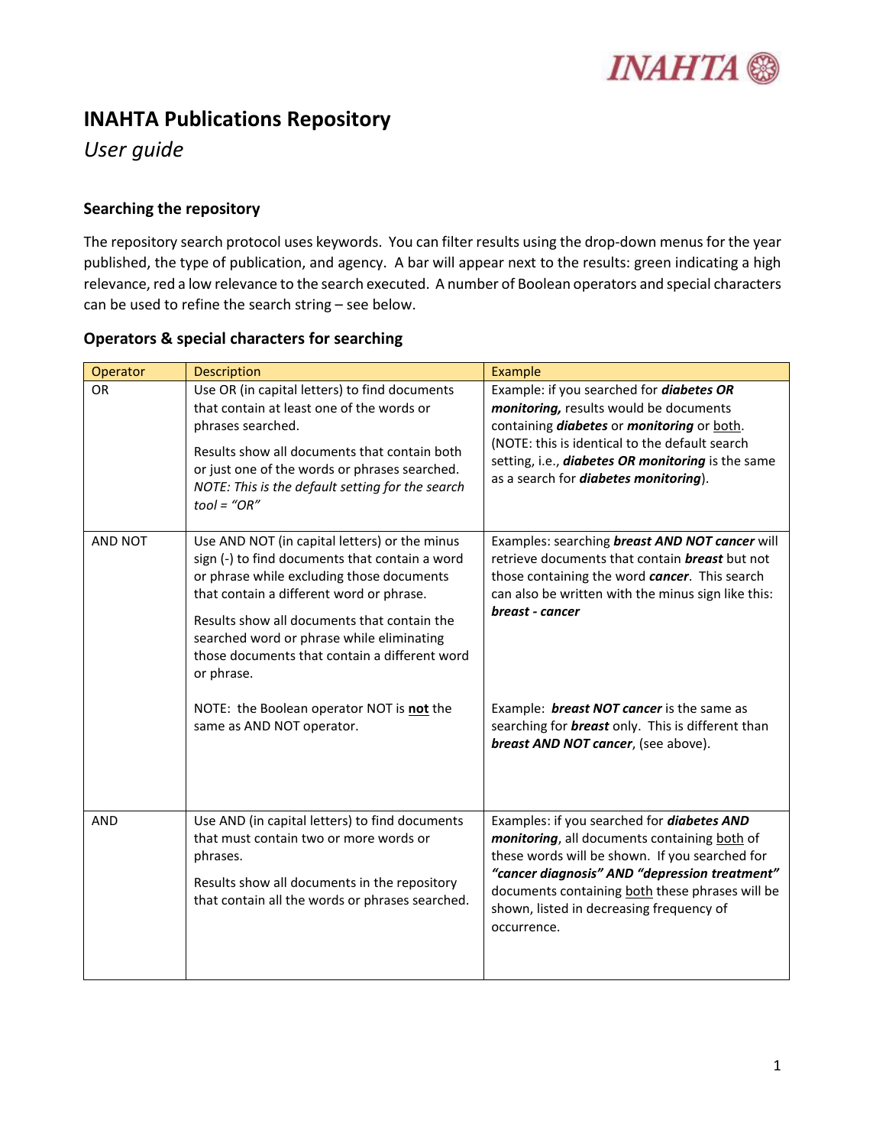

# **INAHTA Publications Repository**

*User guide*

#### **Searching the repository**

The repository search protocol uses keywords. You can filter results using the drop-down menus for the year published, the type of publication, and agency. A bar will appear next to the results: green indicating a high relevance, red a low relevance to the search executed. A number of Boolean operators and special characters can be used to refine the search string – see below.

| Operator   | <b>Description</b>                                                                                                                                                                                                                                                                                                                                  | Example                                                                                                                                                                                                                                                                                                            |
|------------|-----------------------------------------------------------------------------------------------------------------------------------------------------------------------------------------------------------------------------------------------------------------------------------------------------------------------------------------------------|--------------------------------------------------------------------------------------------------------------------------------------------------------------------------------------------------------------------------------------------------------------------------------------------------------------------|
| <b>OR</b>  | Use OR (in capital letters) to find documents<br>that contain at least one of the words or<br>phrases searched.<br>Results show all documents that contain both<br>or just one of the words or phrases searched.<br>NOTE: This is the default setting for the search<br>$tool = "OR"$                                                               | Example: if you searched for <i>diabetes OR</i><br>monitoring, results would be documents<br>containing <i>diabetes</i> or <i>monitoring</i> or both.<br>(NOTE: this is identical to the default search<br>setting, i.e., diabetes OR monitoring is the same<br>as a search for <i>diabetes monitoring</i> ).      |
| AND NOT    | Use AND NOT (in capital letters) or the minus<br>sign (-) to find documents that contain a word<br>or phrase while excluding those documents<br>that contain a different word or phrase.<br>Results show all documents that contain the<br>searched word or phrase while eliminating<br>those documents that contain a different word<br>or phrase. | Examples: searching breast AND NOT cancer will<br>retrieve documents that contain <b>breast</b> but not<br>those containing the word cancer. This search<br>can also be written with the minus sign like this:<br>breast - cancer                                                                                  |
|            | NOTE: the Boolean operator NOT is not the<br>same as AND NOT operator.                                                                                                                                                                                                                                                                              | Example: <b>breast NOT cancer</b> is the same as<br>searching for <b>breast</b> only. This is different than<br>breast AND NOT cancer, (see above).                                                                                                                                                                |
| <b>AND</b> | Use AND (in capital letters) to find documents<br>that must contain two or more words or<br>phrases.<br>Results show all documents in the repository<br>that contain all the words or phrases searched.                                                                                                                                             | Examples: if you searched for <i>diabetes AND</i><br>monitoring, all documents containing both of<br>these words will be shown. If you searched for<br>"cancer diagnosis" AND "depression treatment"<br>documents containing both these phrases will be<br>shown, listed in decreasing frequency of<br>occurrence. |

### **Operators & special characters for searching**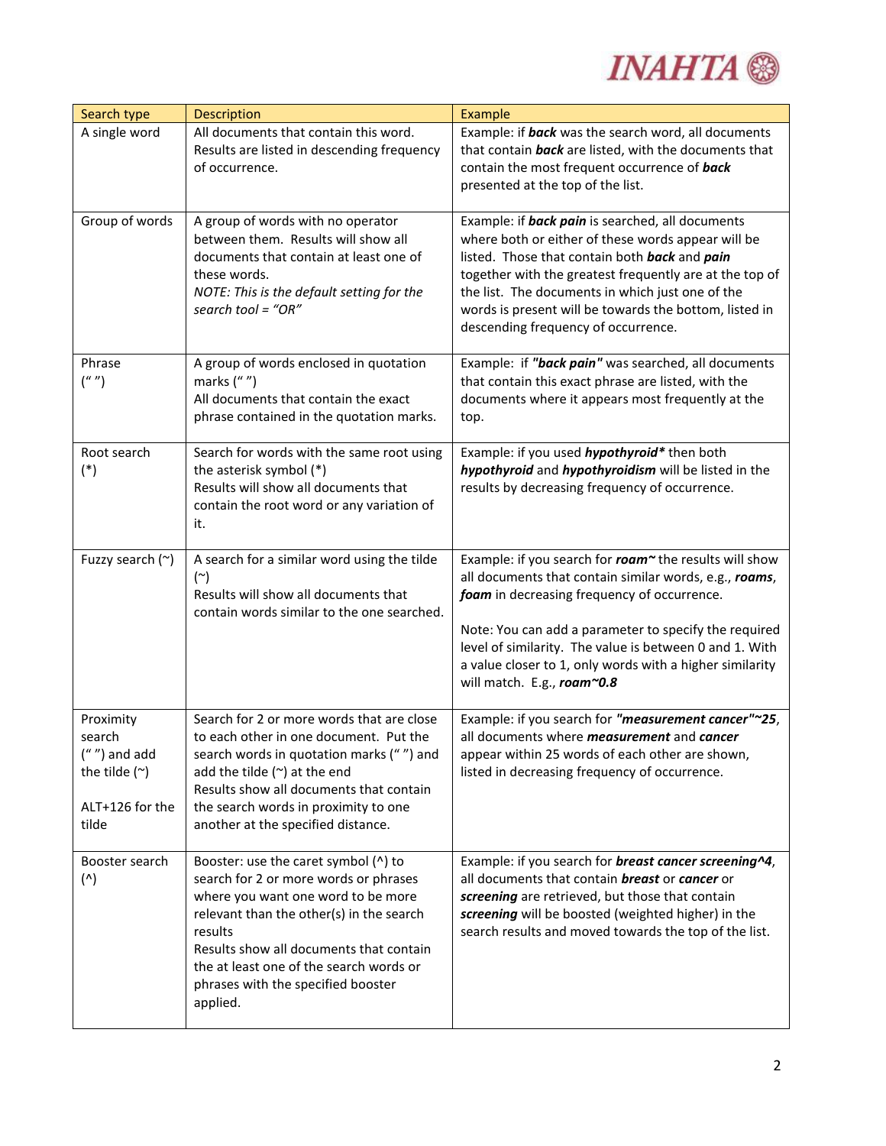

| Search type                                                                               | Description                                                                                                                                                                                                                                                                                                        | Example                                                                                                                                                                                                                                                                                                                                                                        |
|-------------------------------------------------------------------------------------------|--------------------------------------------------------------------------------------------------------------------------------------------------------------------------------------------------------------------------------------------------------------------------------------------------------------------|--------------------------------------------------------------------------------------------------------------------------------------------------------------------------------------------------------------------------------------------------------------------------------------------------------------------------------------------------------------------------------|
| A single word                                                                             | All documents that contain this word.<br>Results are listed in descending frequency<br>of occurrence.                                                                                                                                                                                                              | Example: if back was the search word, all documents<br>that contain back are listed, with the documents that<br>contain the most frequent occurrence of back<br>presented at the top of the list.                                                                                                                                                                              |
| Group of words                                                                            | A group of words with no operator<br>between them. Results will show all<br>documents that contain at least one of<br>these words.<br>NOTE: This is the default setting for the<br>search tool = "OR"                                                                                                              | Example: if <b>back pain</b> is searched, all documents<br>where both or either of these words appear will be<br>listed. Those that contain both back and pain<br>together with the greatest frequently are at the top of<br>the list. The documents in which just one of the<br>words is present will be towards the bottom, listed in<br>descending frequency of occurrence. |
| Phrase<br>$($ "')                                                                         | A group of words enclosed in quotation<br>marks $('''')$<br>All documents that contain the exact<br>phrase contained in the quotation marks.                                                                                                                                                                       | Example: if "back pain" was searched, all documents<br>that contain this exact phrase are listed, with the<br>documents where it appears most frequently at the<br>top.                                                                                                                                                                                                        |
| Root search<br>$(*)$                                                                      | Search for words with the same root using<br>the asterisk symbol (*)<br>Results will show all documents that<br>contain the root word or any variation of<br>it.                                                                                                                                                   | Example: if you used <i>hypothyroid</i> * then both<br>hypothyroid and hypothyroidism will be listed in the<br>results by decreasing frequency of occurrence.                                                                                                                                                                                                                  |
| Fuzzy search (~)                                                                          | A search for a similar word using the tilde<br>$(\sim)$<br>Results will show all documents that<br>contain words similar to the one searched.                                                                                                                                                                      | Example: if you search for roam" the results will show<br>all documents that contain similar words, e.g., roams,<br>foam in decreasing frequency of occurrence.<br>Note: You can add a parameter to specify the required<br>level of similarity. The value is between 0 and 1. With<br>a value closer to 1, only words with a higher similarity<br>will match. E.g., roam~0.8  |
| Proximity<br>search<br>$('''')$ and add<br>the tilde $(\sim)$<br>ALT+126 for the<br>tilde | Search for 2 or more words that are close<br>to each other in one document. Put the<br>search words in quotation marks ("") and<br>add the tilde $(\sim)$ at the end<br>Results show all documents that contain<br>the search words in proximity to one<br>another at the specified distance.                      | Example: if you search for "measurement cancer"~25,<br>all documents where <i>measurement</i> and <i>cancer</i><br>appear within 25 words of each other are shown,<br>listed in decreasing frequency of occurrence.                                                                                                                                                            |
| Booster search<br>(                                                                       | Booster: use the caret symbol (^) to<br>search for 2 or more words or phrases<br>where you want one word to be more<br>relevant than the other(s) in the search<br>results<br>Results show all documents that contain<br>the at least one of the search words or<br>phrases with the specified booster<br>applied. | Example: if you search for <b>breast cancer screening^4</b> ,<br>all documents that contain <b>breast</b> or <b>cancer</b> or<br>screening are retrieved, but those that contain<br>screening will be boosted (weighted higher) in the<br>search results and moved towards the top of the list.                                                                                |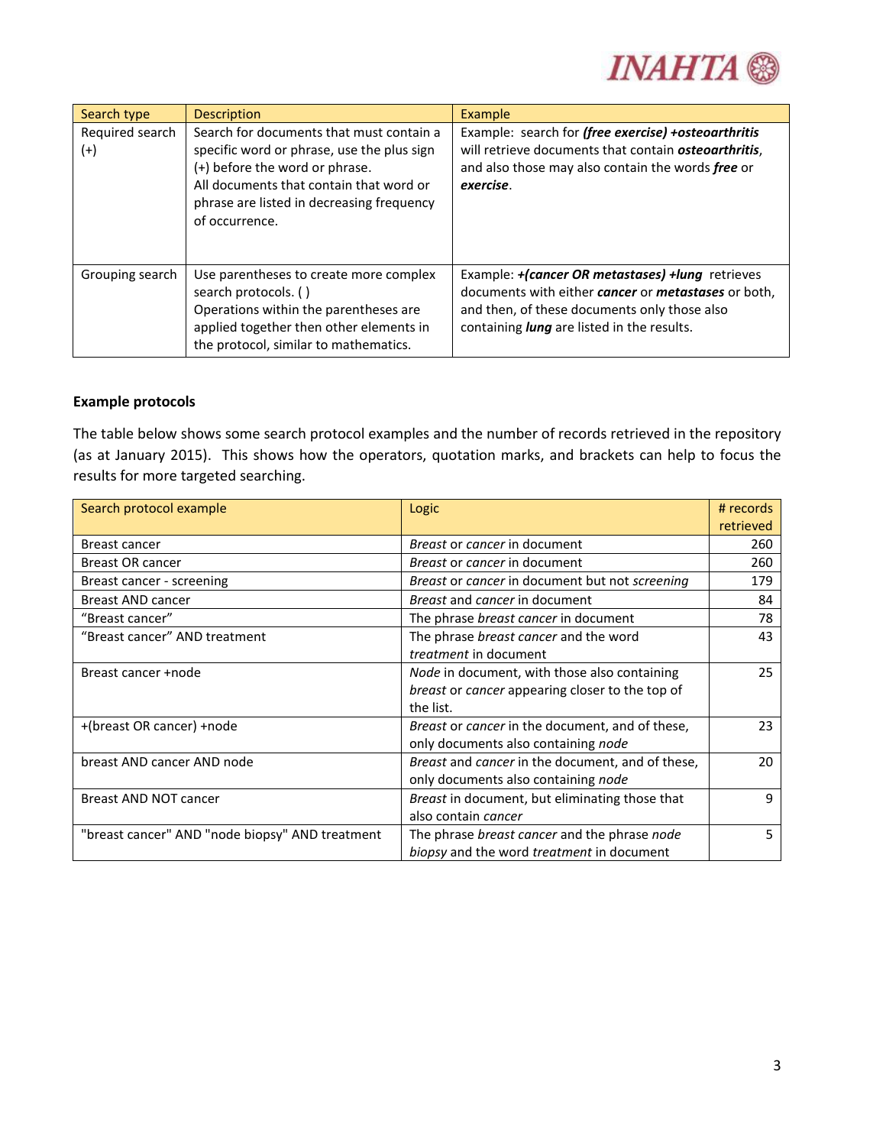

| Search type                 | <b>Description</b>                                                                                                                                                                                                                 | <b>Example</b>                                                                                                                                                                                               |
|-----------------------------|------------------------------------------------------------------------------------------------------------------------------------------------------------------------------------------------------------------------------------|--------------------------------------------------------------------------------------------------------------------------------------------------------------------------------------------------------------|
| Required search<br>$^{(+)}$ | Search for documents that must contain a<br>specific word or phrase, use the plus sign<br>(+) before the word or phrase.<br>All documents that contain that word or<br>phrase are listed in decreasing frequency<br>of occurrence. | Example: search for (free exercise) +osteoarthritis<br>will retrieve documents that contain <b>osteoarthritis</b> ,<br>and also those may also contain the words free or<br>exercise.                        |
| Grouping search             | Use parentheses to create more complex<br>search protocols. ()<br>Operations within the parentheses are<br>applied together then other elements in<br>the protocol, similar to mathematics.                                        | Example: +(cancer OR metastases) +lung retrieves<br>documents with either cancer or metastases or both,<br>and then, of these documents only those also<br>containing <b>lung</b> are listed in the results. |

#### **Example protocols**

The table below shows some search protocol examples and the number of records retrieved in the repository (as at January 2015). This shows how the operators, quotation marks, and brackets can help to focus the results for more targeted searching.

| Search protocol example                         | Logic                                            | # records<br>retrieved |
|-------------------------------------------------|--------------------------------------------------|------------------------|
| Breast cancer                                   | <i>Breast or cancer in document</i>              | 260                    |
| <b>Breast OR cancer</b>                         | <i>Breast or cancer in document</i>              | 260                    |
| Breast cancer - screening                       | Breast or cancer in document but not screening   | 179                    |
| <b>Breast AND cancer</b>                        | Breast and cancer in document                    | 84                     |
| "Breast cancer"                                 | The phrase breast cancer in document             | 78                     |
| "Breast cancer" AND treatment                   | The phrase breast cancer and the word            | 43                     |
|                                                 | <i>treatment</i> in document                     |                        |
| Breast cancer +node                             | Node in document, with those also containing     | 25                     |
|                                                 | breast or cancer appearing closer to the top of  |                        |
|                                                 | the list.                                        |                        |
| +(breast OR cancer) +node                       | Breast or cancer in the document, and of these,  | 23                     |
|                                                 | only documents also containing node              |                        |
| breast AND cancer AND node                      | Breast and cancer in the document, and of these, | 20                     |
|                                                 | only documents also containing node              |                        |
| <b>Breast AND NOT cancer</b>                    | Breast in document, but eliminating those that   | 9                      |
|                                                 | also contain cancer                              |                        |
| "breast cancer" AND "node biopsy" AND treatment | The phrase breast cancer and the phrase node     | 5                      |
|                                                 | biopsy and the word treatment in document        |                        |